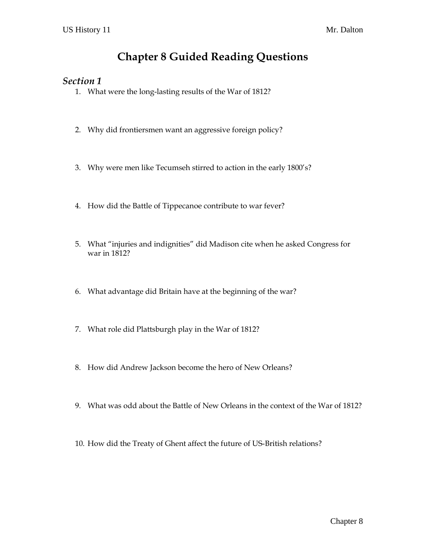# **Chapter 8 Guided Reading Questions**

#### *Section 1*

- 1. What were the long-lasting results of the War of 1812?
- 2. Why did frontiersmen want an aggressive foreign policy?
- 3. Why were men like Tecumseh stirred to action in the early 1800's?
- 4. How did the Battle of Tippecanoe contribute to war fever?
- 5. What "injuries and indignities" did Madison cite when he asked Congress for war in 1812?
- 6. What advantage did Britain have at the beginning of the war?
- 7. What role did Plattsburgh play in the War of 1812?
- 8. How did Andrew Jackson become the hero of New Orleans?
- 9. What was odd about the Battle of New Orleans in the context of the War of 1812?
- 10. How did the Treaty of Ghent affect the future of US-British relations?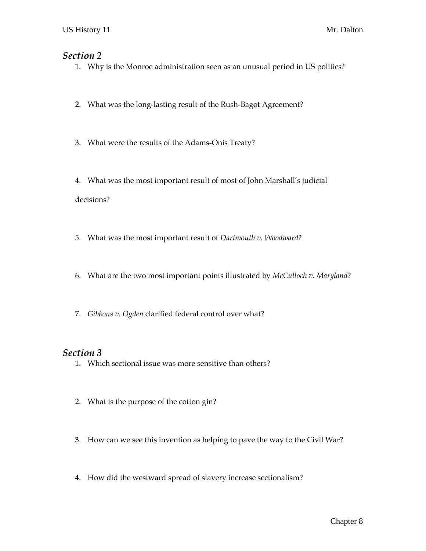### *Section 2*

- 1. Why is the Monroe administration seen as an unusual period in US politics?
- 2. What was the long-lasting result of the Rush-Bagot Agreement?
- 3. What were the results of the Adams-Onís Treaty?

4. What was the most important result of most of John Marshall's judicial decisions?

- 5. What was the most important result of *Dartmouth v. Woodward*?
- 6. What are the two most important points illustrated by *McCulloch v. Maryland*?
- 7. *Gibbons v. Ogden* clarified federal control over what?

#### *Section 3*

- 1. Which sectional issue was more sensitive than others?
- 2. What is the purpose of the cotton gin?
- 3. How can we see this invention as helping to pave the way to the Civil War?
- 4. How did the westward spread of slavery increase sectionalism?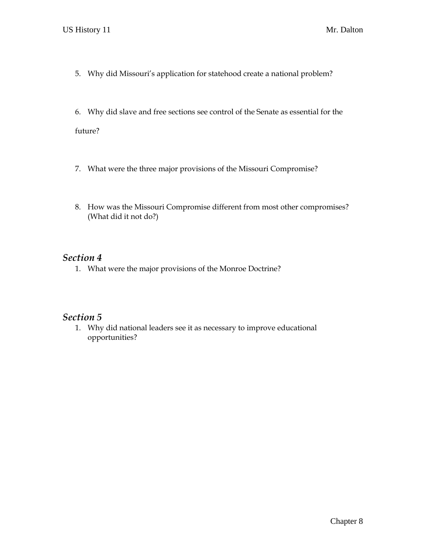- 5. Why did Missouri's application for statehood create a national problem?
- 6. Why did slave and free sections see control of the Senate as essential for the

future?

- 7. What were the three major provisions of the Missouri Compromise?
- 8. How was the Missouri Compromise different from most other compromises? (What did it not do?)

## *Section 4*

1. What were the major provisions of the Monroe Doctrine?

### *Section 5*

1. Why did national leaders see it as necessary to improve educational opportunities?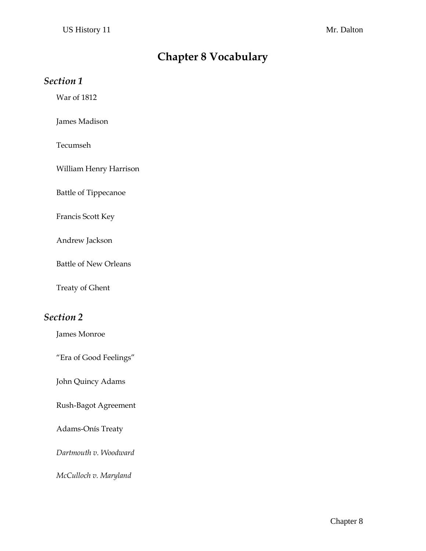# **Chapter 8 Vocabulary**

### *Section 1*

War of 1812

James Madison

Tecumseh

William Henry Harrison

Battle of Tippecanoe

Francis Scott Key

Andrew Jackson

Battle of New Orleans

Treaty of Ghent

## *Section 2*

James Monroe

"Era of Good Feelings"

John Quincy Adams

Rush-Bagot Agreement

Adams-Onís Treaty

*Dartmouth v. Woodward*

*McCulloch v. Maryland*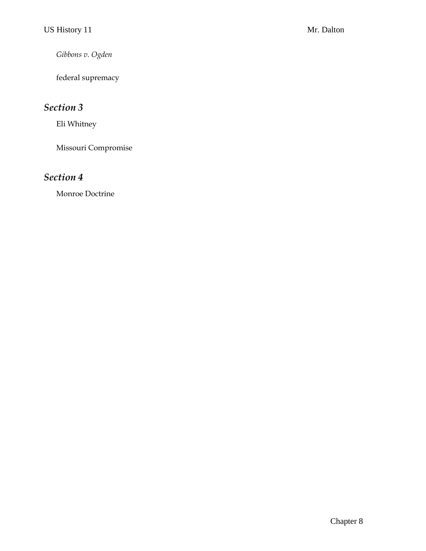*Gibbons v. Ogden*

federal supremacy

# *Section 3*

Eli Whitney

Missouri Compromise

## *Section 4*

Monroe Doctrine